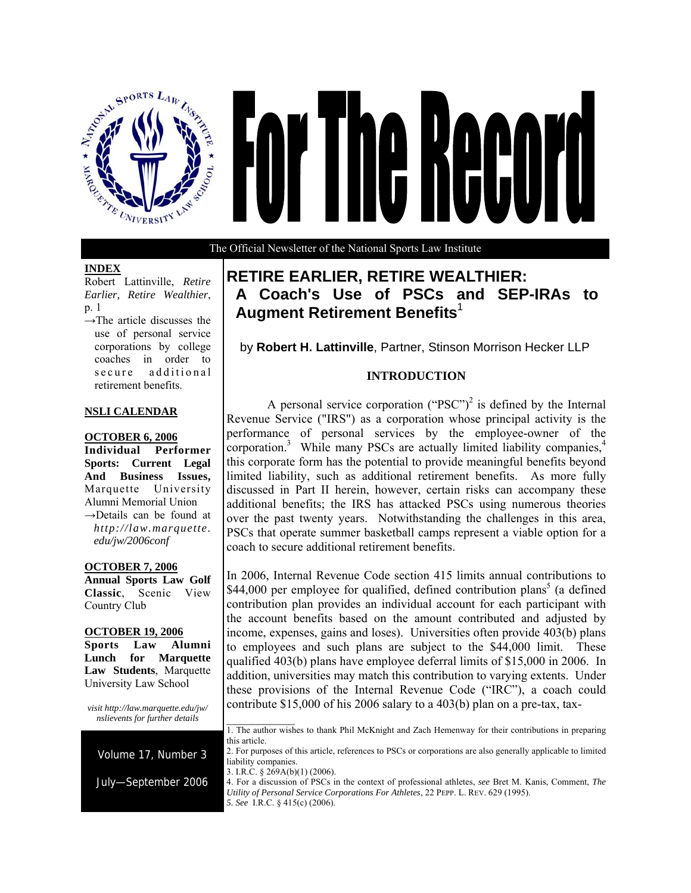

# Ne Reco I  $\mathbf{I}$

The Official Newsletter of the National Sports Law Institute

# **INDEX**

Robert Lattinville, *Retire Earlier, Retire Wealthier*, p. 1

 $\rightarrow$ The article discusses the use of personal service corporations by college coaches in order to secure additional retirement benefits.

# **NSLI CALENDAR**

# **OCTOBER 6, 2006**

**Individual Performer Sports: Current Legal And Business Issues,**  Marquette University Alumni Memorial Union →Details can be found at *http://law.marquette. edu/jw/2006conf* 

#### **OCTOBER 7, 2006**

**Annual Sports Law Golf Classic**, Scenic View Country Club

#### **OCTOBER 19, 2006**

**Sports Law Alumni Lunch for Marquette Law Students**, Marquette University Law School

*visit http://law.marquette.edu/jw/ nslievents for further details* 



# **RETIRE EARLIER, RETIRE WEALTHIER: A Coach's Use of PSCs and SEP-IRAs to Augment Retirement Benefits**<sup>1</sup>

by **Robert H. Lattinville**, Partner, Stinson Morrison Hecker LLP

# **INTRODUCTION**

A personal service corporation ("PSC")<sup>2</sup> is defined by the Internal Revenue Service ("IRS") as a corporation whose principal activity is the performance of personal services by the employee-owner of the corporation.<sup>3</sup> While many PSCs are actually limited liability companies,<sup>4</sup> this corporate form has the potential to provide meaningful benefits beyond limited liability, such as additional retirement benefits. As more fully discussed in Part II herein, however, certain risks can accompany these additional benefits; the IRS has attacked PSCs using numerous theories over the past twenty years. Notwithstanding the challenges in this area, PSCs that operate summer basketball camps represent a viable option for a coach to secure additional retirement benefits.

In 2006, Internal Revenue Code section 415 limits annual contributions to \$44,000 per employee for qualified, defined contribution plans<sup>5</sup> (a defined contribution plan provides an individual account for each participant with the account benefits based on the amount contributed and adjusted by income, expenses, gains and loses). Universities often provide 403(b) plans to employees and such plans are subject to the \$44,000 limit. These qualified 403(b) plans have employee deferral limits of \$15,000 in 2006. In addition, universities may match this contribution to varying extents. Under these provisions of the Internal Revenue Code ("IRC"), a coach could contribute \$15,000 of his 2006 salary to a 403(b) plan on a pre-tax, tax-

 $\frac{1}{2}$ 1. The author wishes to thank Phil McKnight and Zach Hemenway for their contributions in preparing this article.

<sup>2.</sup> For purposes of this article, references to PSCs or corporations are also generally applicable to limited liability companies.

<sup>3.</sup> I.R.C. § 269A(b)(1) (2006).

<sup>4.</sup> For a discussion of PSCs in the context of professional athletes, *see* Bret M. Kanis, Comment, *The Utility of Personal Service Corporations For Athletes*, 22 PEPP. L. REV. 629 (1995). *5. See* I.R.C. § 415(c) (2006).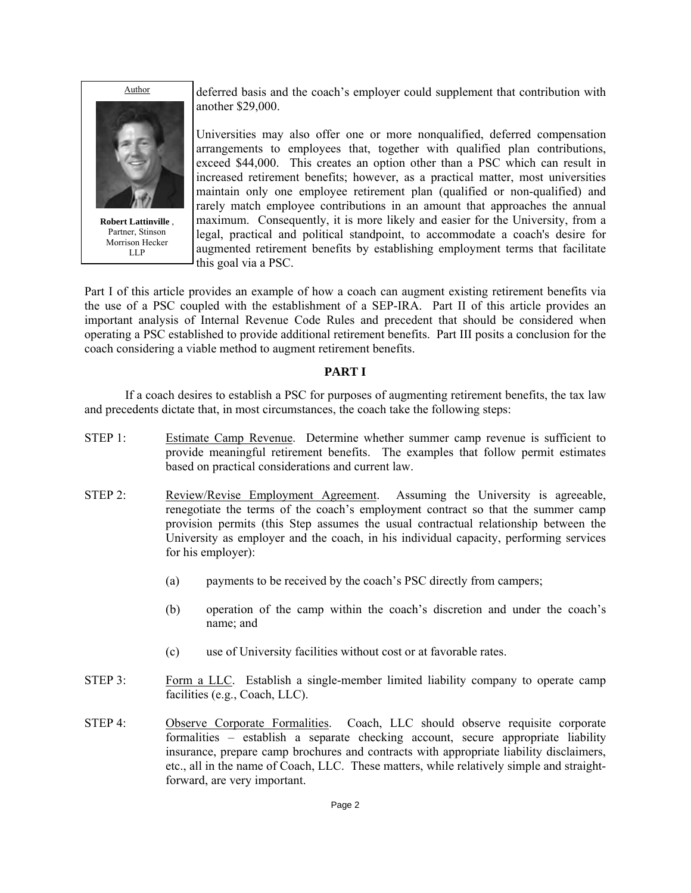

**Robert Lattinville** , Partner, Stinson Morrison Hecker LLP

deferred basis and the coach's employer could supplement that contribution with another \$29,000.

Universities may also offer one or more nonqualified, deferred compensation arrangements to employees that, together with qualified plan contributions, exceed \$44,000. This creates an option other than a PSC which can result in increased retirement benefits; however, as a practical matter, most universities maintain only one employee retirement plan (qualified or non-qualified) and rarely match employee contributions in an amount that approaches the annual maximum. Consequently, it is more likely and easier for the University, from a legal, practical and political standpoint, to accommodate a coach's desire for augmented retirement benefits by establishing employment terms that facilitate this goal via a PSC.

Part I of this article provides an example of how a coach can augment existing retirement benefits via the use of a PSC coupled with the establishment of a SEP-IRA. Part II of this article provides an important analysis of Internal Revenue Code Rules and precedent that should be considered when operating a PSC established to provide additional retirement benefits. Part III posits a conclusion for the coach considering a viable method to augment retirement benefits.

# **PART I**

If a coach desires to establish a PSC for purposes of augmenting retirement benefits, the tax law and precedents dictate that, in most circumstances, the coach take the following steps:

- STEP 1: Estimate Camp Revenue. Determine whether summer camp revenue is sufficient to provide meaningful retirement benefits. The examples that follow permit estimates based on practical considerations and current law.
- STEP 2: Review/Revise Employment Agreement. Assuming the University is agreeable, renegotiate the terms of the coach's employment contract so that the summer camp provision permits (this Step assumes the usual contractual relationship between the University as employer and the coach, in his individual capacity, performing services for his employer):
	- (a) payments to be received by the coach's PSC directly from campers;
	- (b) operation of the camp within the coach's discretion and under the coach's name; and
	- (c) use of University facilities without cost or at favorable rates.
- STEP 3: Form a LLC. Establish a single-member limited liability company to operate camp facilities (e.g., Coach, LLC).
- STEP 4: Observe Corporate Formalities. Coach, LLC should observe requisite corporate formalities – establish a separate checking account, secure appropriate liability insurance, prepare camp brochures and contracts with appropriate liability disclaimers, etc., all in the name of Coach, LLC. These matters, while relatively simple and straightforward, are very important.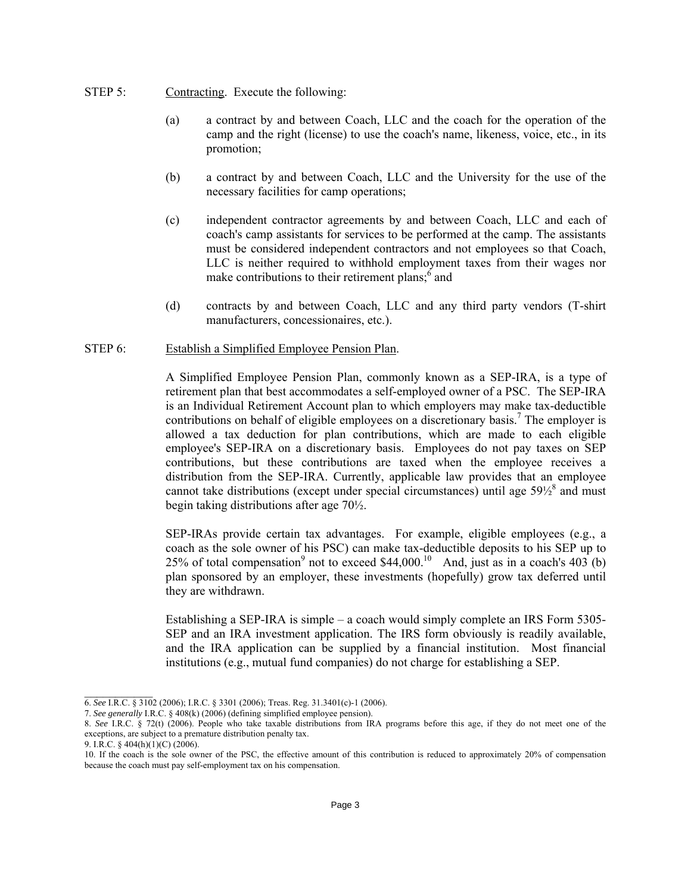- STEP 5: Contracting. Execute the following:
	- (a) a contract by and between Coach, LLC and the coach for the operation of the camp and the right (license) to use the coach's name, likeness, voice, etc., in its promotion;
	- (b) a contract by and between Coach, LLC and the University for the use of the necessary facilities for camp operations;
	- (c) independent contractor agreements by and between Coach, LLC and each of coach's camp assistants for services to be performed at the camp. The assistants must be considered independent contractors and not employees so that Coach, LLC is neither required to withhold employment taxes from their wages nor make contributions to their retirement plans; $\delta$  and
	- (d) contracts by and between Coach, LLC and any third party vendors (T-shirt manufacturers, concessionaires, etc.).

#### STEP 6: Establish a Simplified Employee Pension Plan.

A Simplified Employee Pension Plan, commonly known as a SEP-IRA, is a type of retirement plan that best accommodates a self-employed owner of a PSC. The SEP-IRA is an Individual Retirement Account plan to which employers may make tax-deductible contributions on behalf of eligible employees on a discretionary basis.<sup>7</sup> The employer is allowed a tax deduction for plan contributions, which are made to each eligible employee's SEP-IRA on a discretionary basis. Employees do not pay taxes on SEP contributions, but these contributions are taxed when the employee receives a distribution from the SEP-IRA. Currently, applicable law provides that an employee cannot take distributions (except under special circumstances) until age  $59\frac{1}{8}$  and must begin taking distributions after age 70½.

SEP-IRAs provide certain tax advantages. For example, eligible employees (e.g., a coach as the sole owner of his PSC) can make tax-deductible deposits to his SEP up to 25% of total compensation<sup>9</sup> not to exceed \$44,000.<sup>10</sup> And, just as in a coach's 403 (b) plan sponsored by an employer, these investments (hopefully) grow tax deferred until they are withdrawn.

Establishing a SEP-IRA is simple – a coach would simply complete an IRS Form 5305- SEP and an IRA investment application. The IRS form obviously is readily available, and the IRA application can be supplied by a financial institution. Most financial institutions (e.g., mutual fund companies) do not charge for establishing a SEP.

 $\mathcal{L}_\text{max}$ 

<sup>6.</sup> *See* I.R.C. § 3102 (2006); I.R.C. § 3301 (2006); Treas. Reg. 31.3401(c)-1 (2006).

<sup>7.</sup> *See generally* I.R.C. § 408(k) (2006) (defining simplified employee pension).

<sup>8.</sup> *See* I.R.C. § 72(t) (2006). People who take taxable distributions from IRA programs before this age, if they do not meet one of the exceptions, are subject to a premature distribution penalty tax.

<sup>9.</sup> I.R.C. § 404(h)(1)(C) (2006).

<sup>10.</sup> If the coach is the sole owner of the PSC, the effective amount of this contribution is reduced to approximately 20% of compensation because the coach must pay self-employment tax on his compensation.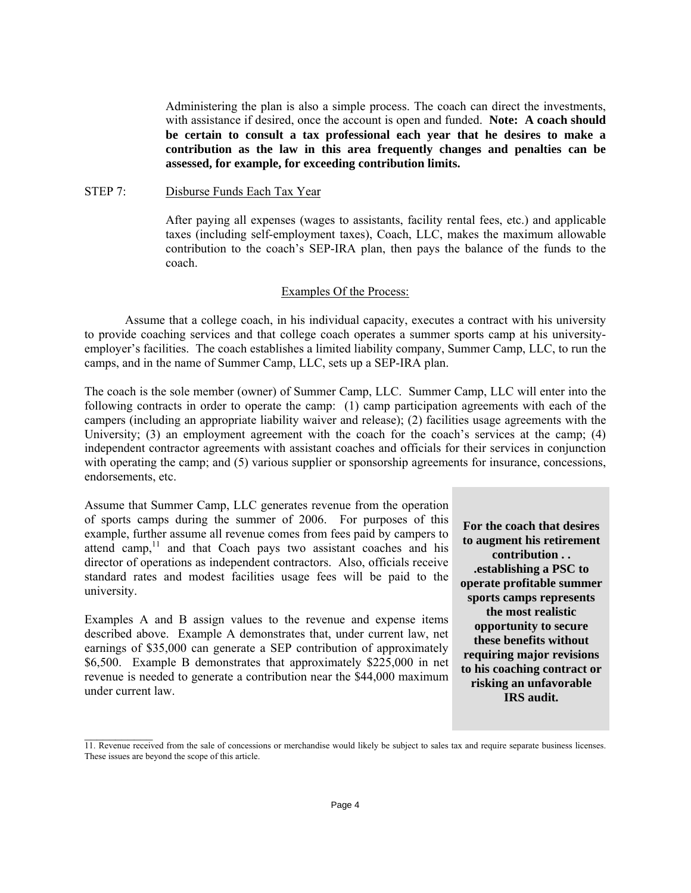Administering the plan is also a simple process. The coach can direct the investments, with assistance if desired, once the account is open and funded. **Note: A coach should be certain to consult a tax professional each year that he desires to make a contribution as the law in this area frequently changes and penalties can be assessed, for example, for exceeding contribution limits.** 

#### STEP 7: Disburse Funds Each Tax Year

 After paying all expenses (wages to assistants, facility rental fees, etc.) and applicable taxes (including self-employment taxes), Coach, LLC, makes the maximum allowable contribution to the coach's SEP-IRA plan, then pays the balance of the funds to the coach.

#### Examples Of the Process:

 Assume that a college coach, in his individual capacity, executes a contract with his university to provide coaching services and that college coach operates a summer sports camp at his universityemployer's facilities. The coach establishes a limited liability company, Summer Camp, LLC, to run the camps, and in the name of Summer Camp, LLC, sets up a SEP-IRA plan.

The coach is the sole member (owner) of Summer Camp, LLC. Summer Camp, LLC will enter into the following contracts in order to operate the camp: (1) camp participation agreements with each of the campers (including an appropriate liability waiver and release); (2) facilities usage agreements with the University; (3) an employment agreement with the coach for the coach's services at the camp; (4) independent contractor agreements with assistant coaches and officials for their services in conjunction with operating the camp; and (5) various supplier or sponsorship agreements for insurance, concessions, endorsements, etc.

Assume that Summer Camp, LLC generates revenue from the operation of sports camps during the summer of 2006. For purposes of this example, further assume all revenue comes from fees paid by campers to attend camp, $11$  and that Coach pays two assistant coaches and his director of operations as independent contractors. Also, officials receive standard rates and modest facilities usage fees will be paid to the university.

Examples A and B assign values to the revenue and expense items described above. Example A demonstrates that, under current law, net earnings of \$35,000 can generate a SEP contribution of approximately \$6,500. Example B demonstrates that approximately \$225,000 in net revenue is needed to generate a contribution near the \$44,000 maximum under current law.

 $\mathcal{L}_\text{max}$ 

**For the coach that desires to augment his retirement contribution . . .establishing a PSC to operate profitable summer sports camps represents the most realistic opportunity to secure these benefits without requiring major revisions to his coaching contract or risking an unfavorable IRS audit.**

<sup>11.</sup> Revenue received from the sale of concessions or merchandise would likely be subject to sales tax and require separate business licenses. These issues are beyond the scope of this article.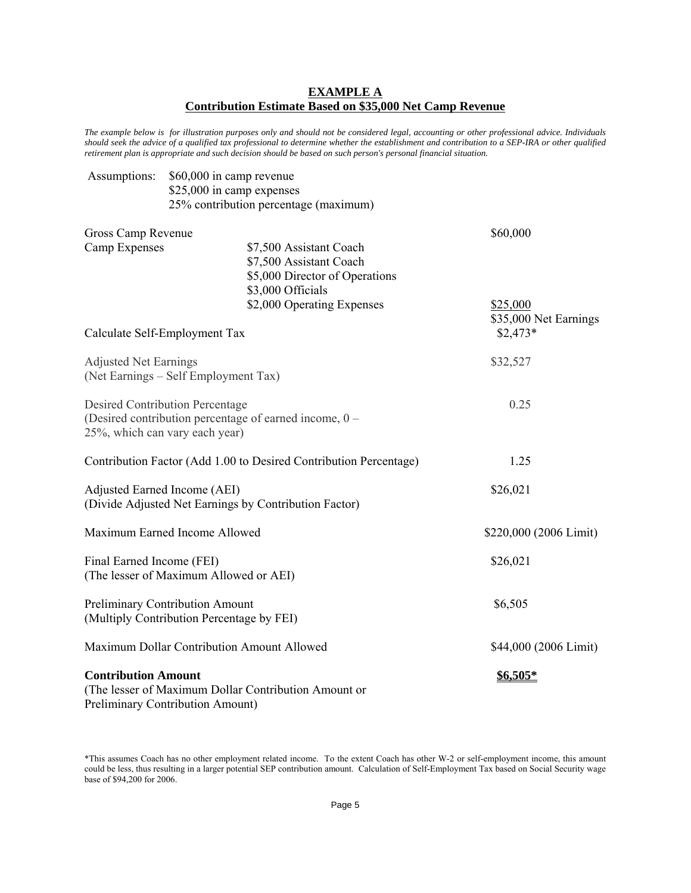# **EXAMPLE A Contribution Estimate Based on \$35,000 Net Camp Revenue**

*The example below is for illustration purposes only and should not be considered legal, accounting or other professional advice. Individuals should seek the advice of a qualified tax professional to determine whether the establishment and contribution to a SEP-IRA or other qualified retirement plan is appropriate and such decision should be based on such person's personal financial situation.* 

| Assumptions:                                                      | \$60,000 in camp revenue                  |                                                        |                        |  |  |
|-------------------------------------------------------------------|-------------------------------------------|--------------------------------------------------------|------------------------|--|--|
|                                                                   | \$25,000 in camp expenses                 |                                                        |                        |  |  |
|                                                                   |                                           | 25% contribution percentage (maximum)                  |                        |  |  |
| Gross Camp Revenue                                                |                                           |                                                        | \$60,000               |  |  |
| Camp Expenses                                                     |                                           | \$7,500 Assistant Coach                                |                        |  |  |
|                                                                   |                                           | \$7,500 Assistant Coach                                |                        |  |  |
|                                                                   |                                           | \$5,000 Director of Operations                         |                        |  |  |
|                                                                   |                                           | \$3,000 Officials                                      |                        |  |  |
|                                                                   |                                           | \$2,000 Operating Expenses                             | \$25,000               |  |  |
|                                                                   |                                           |                                                        | \$35,000 Net Earnings  |  |  |
|                                                                   | Calculate Self-Employment Tax             |                                                        | $$2,473*$              |  |  |
| <b>Adjusted Net Earnings</b>                                      |                                           |                                                        | \$32,527               |  |  |
|                                                                   | (Net Earnings – Self Employment Tax)      |                                                        |                        |  |  |
|                                                                   | <b>Desired Contribution Percentage</b>    |                                                        | 0.25                   |  |  |
|                                                                   |                                           | (Desired contribution percentage of earned income, 0 – |                        |  |  |
|                                                                   | 25%, which can vary each year)            |                                                        |                        |  |  |
|                                                                   |                                           |                                                        |                        |  |  |
| Contribution Factor (Add 1.00 to Desired Contribution Percentage) |                                           |                                                        | 1.25                   |  |  |
|                                                                   | Adjusted Earned Income (AEI)              |                                                        | \$26,021               |  |  |
|                                                                   |                                           | (Divide Adjusted Net Earnings by Contribution Factor)  |                        |  |  |
|                                                                   | Maximum Earned Income Allowed             |                                                        | \$220,000 (2006 Limit) |  |  |
|                                                                   |                                           |                                                        |                        |  |  |
| Final Earned Income (FEI)                                         |                                           |                                                        | \$26,021               |  |  |
|                                                                   | (The lesser of Maximum Allowed or AEI)    |                                                        |                        |  |  |
|                                                                   | Preliminary Contribution Amount           |                                                        | \$6,505                |  |  |
|                                                                   | (Multiply Contribution Percentage by FEI) |                                                        |                        |  |  |
| Maximum Dollar Contribution Amount Allowed                        |                                           |                                                        | \$44,000 (2006 Limit)  |  |  |
|                                                                   |                                           |                                                        |                        |  |  |
| <b>Contribution Amount</b>                                        |                                           | (The lesser of Maximum Dollar Contribution Amount or   | $$6,505*$              |  |  |
|                                                                   | <b>Preliminary Contribution Amount)</b>   |                                                        |                        |  |  |
|                                                                   |                                           |                                                        |                        |  |  |

\*This assumes Coach has no other employment related income. To the extent Coach has other W-2 or self-employment income, this amount could be less, thus resulting in a larger potential SEP contribution amount. Calculation of Self-Employment Tax based on Social Security wage base of \$94,200 for 2006.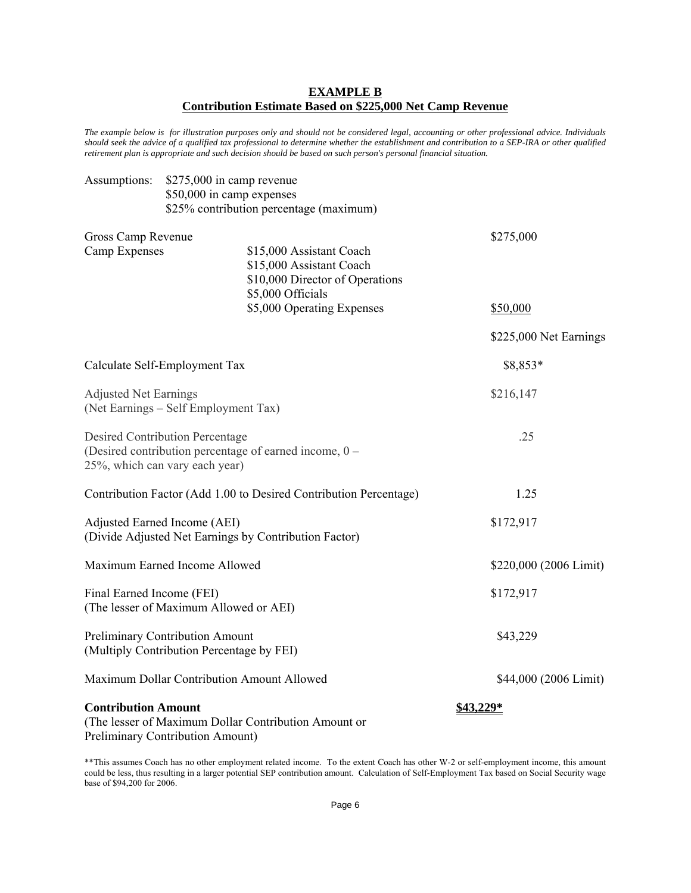# **EXAMPLE B Contribution Estimate Based on \$225,000 Net Camp Revenue**

*The example below is for illustration purposes only and should not be considered legal, accounting or other professional advice. Individuals should seek the advice of a qualified tax professional to determine whether the establishment and contribution to a SEP-IRA or other qualified retirement plan is appropriate and such decision should be based on such person's personal financial situation.* 

| Assumptions:                                                                                                                       | \$275,000 in camp revenue<br>\$50,000 in camp expenses |                                                                                         |                        |  |  |  |
|------------------------------------------------------------------------------------------------------------------------------------|--------------------------------------------------------|-----------------------------------------------------------------------------------------|------------------------|--|--|--|
|                                                                                                                                    |                                                        | \$25% contribution percentage (maximum)                                                 |                        |  |  |  |
| Gross Camp Revenue<br>Camp Expenses                                                                                                |                                                        | \$15,000 Assistant Coach<br>\$15,000 Assistant Coach<br>\$10,000 Director of Operations | \$275,000              |  |  |  |
|                                                                                                                                    |                                                        | \$5,000 Officials<br>\$5,000 Operating Expenses                                         | \$50,000               |  |  |  |
|                                                                                                                                    |                                                        |                                                                                         | \$225,000 Net Earnings |  |  |  |
| Calculate Self-Employment Tax                                                                                                      |                                                        |                                                                                         | \$8,853*               |  |  |  |
| <b>Adjusted Net Earnings</b><br>(Net Earnings – Self Employment Tax)                                                               |                                                        |                                                                                         | \$216,147              |  |  |  |
| <b>Desired Contribution Percentage</b><br>(Desired contribution percentage of earned income, 0 –<br>25%, which can vary each year) |                                                        |                                                                                         | .25                    |  |  |  |
| Contribution Factor (Add 1.00 to Desired Contribution Percentage)                                                                  |                                                        |                                                                                         | 1.25                   |  |  |  |
| Adjusted Earned Income (AEI)<br>(Divide Adjusted Net Earnings by Contribution Factor)                                              |                                                        | \$172,917                                                                               |                        |  |  |  |
| Maximum Earned Income Allowed                                                                                                      |                                                        |                                                                                         | \$220,000 (2006 Limit) |  |  |  |
| Final Earned Income (FEI)<br>(The lesser of Maximum Allowed or AEI)                                                                |                                                        | \$172,917                                                                               |                        |  |  |  |
| Preliminary Contribution Amount<br>(Multiply Contribution Percentage by FEI)                                                       |                                                        |                                                                                         | \$43,229               |  |  |  |
| Maximum Dollar Contribution Amount Allowed                                                                                         |                                                        |                                                                                         | \$44,000 (2006 Limit)  |  |  |  |
| <b>Contribution Amount</b><br><b>Preliminary Contribution Amount)</b>                                                              |                                                        | (The lesser of Maximum Dollar Contribution Amount or                                    | \$43,229*              |  |  |  |

\*\*This assumes Coach has no other employment related income. To the extent Coach has other W-2 or self-employment income, this amount could be less, thus resulting in a larger potential SEP contribution amount. Calculation of Self-Employment Tax based on Social Security wage base of \$94,200 for 2006.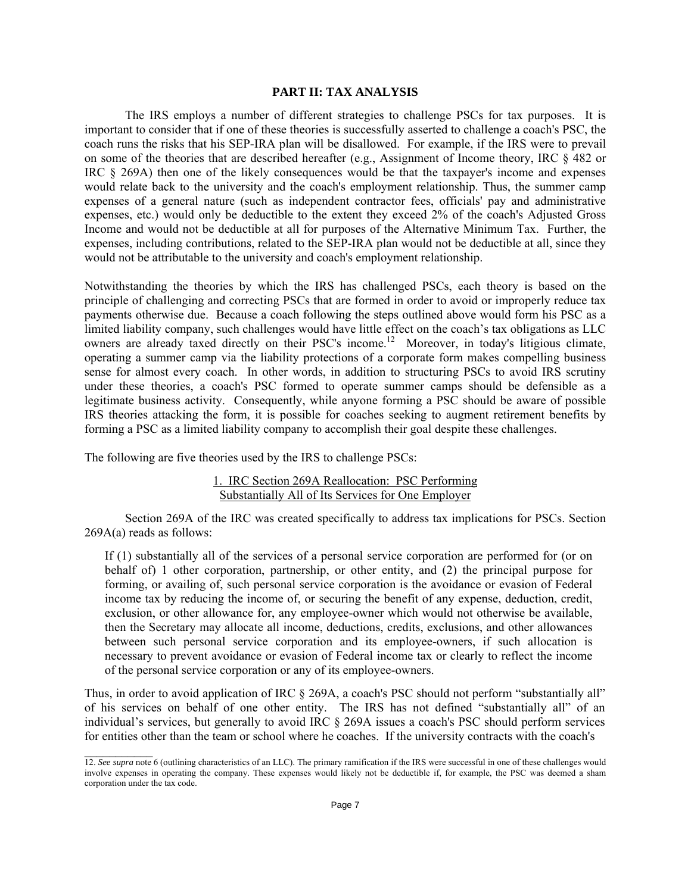#### **PART II: TAX ANALYSIS**

The IRS employs a number of different strategies to challenge PSCs for tax purposes. It is important to consider that if one of these theories is successfully asserted to challenge a coach's PSC, the coach runs the risks that his SEP-IRA plan will be disallowed. For example, if the IRS were to prevail on some of the theories that are described hereafter (e.g., Assignment of Income theory, IRC § 482 or IRC § 269A) then one of the likely consequences would be that the taxpayer's income and expenses would relate back to the university and the coach's employment relationship. Thus, the summer camp expenses of a general nature (such as independent contractor fees, officials' pay and administrative expenses, etc.) would only be deductible to the extent they exceed 2% of the coach's Adjusted Gross Income and would not be deductible at all for purposes of the Alternative Minimum Tax. Further, the expenses, including contributions, related to the SEP-IRA plan would not be deductible at all, since they would not be attributable to the university and coach's employment relationship.

Notwithstanding the theories by which the IRS has challenged PSCs, each theory is based on the principle of challenging and correcting PSCs that are formed in order to avoid or improperly reduce tax payments otherwise due. Because a coach following the steps outlined above would form his PSC as a limited liability company, such challenges would have little effect on the coach's tax obligations as LLC owners are already taxed directly on their PSC's income.12 Moreover, in today's litigious climate, operating a summer camp via the liability protections of a corporate form makes compelling business sense for almost every coach. In other words, in addition to structuring PSCs to avoid IRS scrutiny under these theories, a coach's PSC formed to operate summer camps should be defensible as a legitimate business activity. Consequently, while anyone forming a PSC should be aware of possible IRS theories attacking the form, it is possible for coaches seeking to augment retirement benefits by forming a PSC as a limited liability company to accomplish their goal despite these challenges.

The following are five theories used by the IRS to challenge PSCs:

 $\mathcal{L}_\text{max}$ 

#### 1. IRC Section 269A Reallocation: PSC Performing Substantially All of Its Services for One Employer

Section 269A of the IRC was created specifically to address tax implications for PSCs. Section 269A(a) reads as follows:

If (1) substantially all of the services of a personal service corporation are performed for (or on behalf of) 1 other corporation, partnership, or other entity, and (2) the principal purpose for forming, or availing of, such personal service corporation is the avoidance or evasion of Federal income tax by reducing the income of, or securing the benefit of any expense, deduction, credit, exclusion, or other allowance for, any employee-owner which would not otherwise be available, then the Secretary may allocate all income, deductions, credits, exclusions, and other allowances between such personal service corporation and its employee-owners, if such allocation is necessary to prevent avoidance or evasion of Federal income tax or clearly to reflect the income of the personal service corporation or any of its employee-owners.

Thus, in order to avoid application of IRC § 269A, a coach's PSC should not perform "substantially all" of his services on behalf of one other entity. The IRS has not defined "substantially all" of an individual's services, but generally to avoid IRC § 269A issues a coach's PSC should perform services for entities other than the team or school where he coaches. If the university contracts with the coach's

<sup>12.</sup> *See supra* note 6 (outlining characteristics of an LLC). The primary ramification if the IRS were successful in one of these challenges would involve expenses in operating the company. These expenses would likely not be deductible if, for example, the PSC was deemed a sham corporation under the tax code.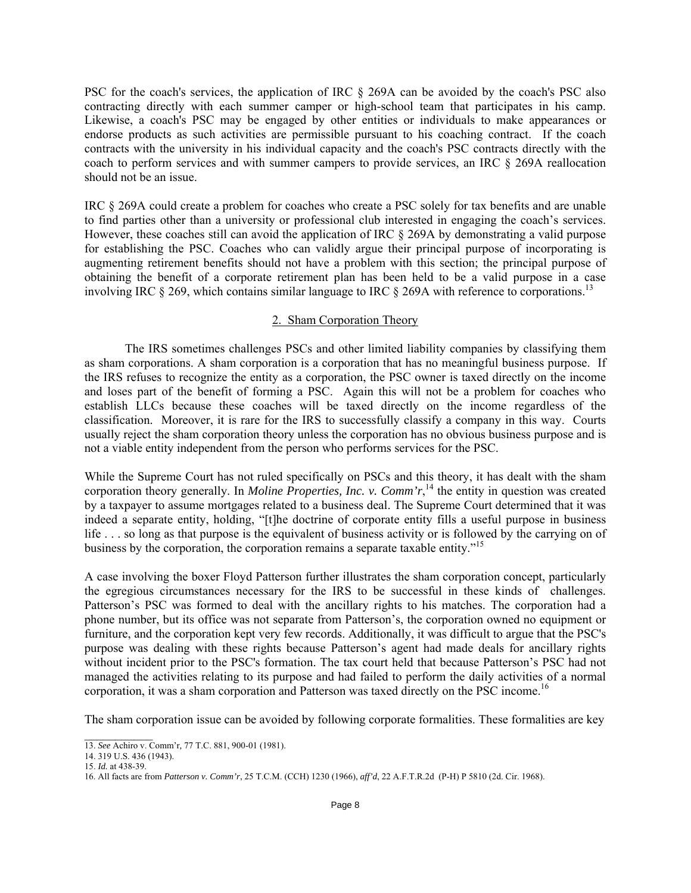PSC for the coach's services, the application of IRC § 269A can be avoided by the coach's PSC also contracting directly with each summer camper or high-school team that participates in his camp. Likewise, a coach's PSC may be engaged by other entities or individuals to make appearances or endorse products as such activities are permissible pursuant to his coaching contract. If the coach contracts with the university in his individual capacity and the coach's PSC contracts directly with the coach to perform services and with summer campers to provide services, an IRC § 269A reallocation should not be an issue.

IRC § 269A could create a problem for coaches who create a PSC solely for tax benefits and are unable to find parties other than a university or professional club interested in engaging the coach's services. However, these coaches still can avoid the application of IRC § 269A by demonstrating a valid purpose for establishing the PSC. Coaches who can validly argue their principal purpose of incorporating is augmenting retirement benefits should not have a problem with this section; the principal purpose of obtaining the benefit of a corporate retirement plan has been held to be a valid purpose in a case involving IRC § 269, which contains similar language to IRC § 269A with reference to corporations.<sup>13</sup>

#### 2. Sham Corporation Theory

The IRS sometimes challenges PSCs and other limited liability companies by classifying them as sham corporations. A sham corporation is a corporation that has no meaningful business purpose. If the IRS refuses to recognize the entity as a corporation, the PSC owner is taxed directly on the income and loses part of the benefit of forming a PSC. Again this will not be a problem for coaches who establish LLCs because these coaches will be taxed directly on the income regardless of the classification. Moreover, it is rare for the IRS to successfully classify a company in this way. Courts usually reject the sham corporation theory unless the corporation has no obvious business purpose and is not a viable entity independent from the person who performs services for the PSC.

While the Supreme Court has not ruled specifically on PSCs and this theory, it has dealt with the sham corporation theory generally. In *Moline Properties, Inc. v. Comm'r*,<sup>14</sup> the entity in question was created by a taxpayer to assume mortgages related to a business deal. The Supreme Court determined that it was indeed a separate entity, holding, "[t]he doctrine of corporate entity fills a useful purpose in business life . . . so long as that purpose is the equivalent of business activity or is followed by the carrying on of business by the corporation, the corporation remains a separate taxable entity."<sup>15</sup>

A case involving the boxer Floyd Patterson further illustrates the sham corporation concept, particularly the egregious circumstances necessary for the IRS to be successful in these kinds of challenges. Patterson's PSC was formed to deal with the ancillary rights to his matches. The corporation had a phone number, but its office was not separate from Patterson's, the corporation owned no equipment or furniture, and the corporation kept very few records. Additionally, it was difficult to argue that the PSC's purpose was dealing with these rights because Patterson's agent had made deals for ancillary rights without incident prior to the PSC's formation. The tax court held that because Patterson's PSC had not managed the activities relating to its purpose and had failed to perform the daily activities of a normal corporation, it was a sham corporation and Patterson was taxed directly on the PSC income.<sup>16</sup>

The sham corporation issue can be avoided by following corporate formalities. These formalities are key

 $\mathcal{L}_\text{max}$ 13. *See* Achiro v. Comm'r*,* 77 T.C. 881, 900-01 (1981).

<sup>14. 319</sup> U.S. 436 (1943).

<sup>15.</sup> *Id.* at 438-39.

<sup>16.</sup> All facts are from *Patterson v. Comm'r*, 25 T.C.M. (CCH) 1230 (1966), *aff'd*, 22 A.F.T.R.2d (P-H) P 5810 (2d. Cir. 1968).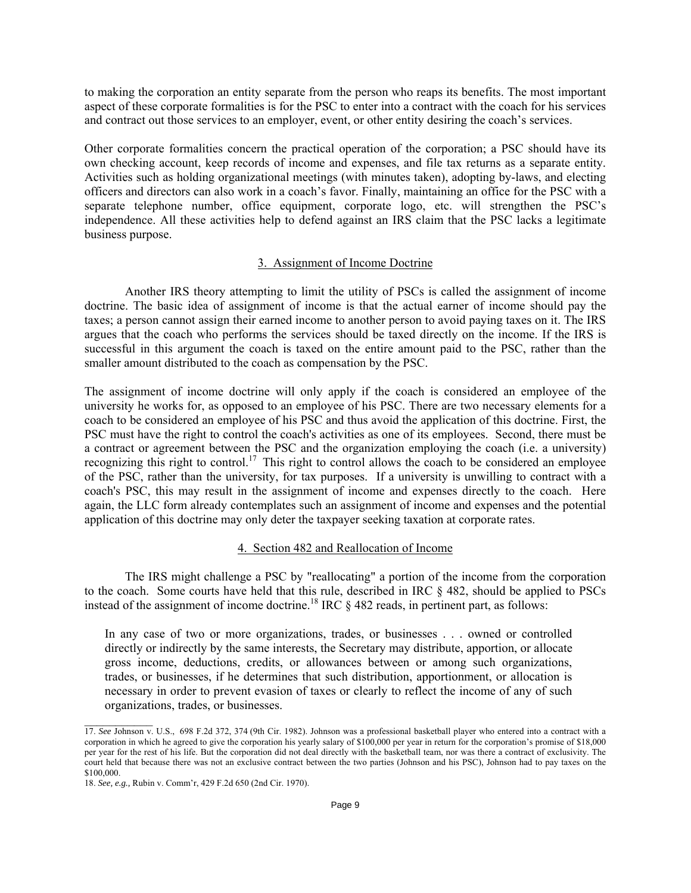to making the corporation an entity separate from the person who reaps its benefits. The most important aspect of these corporate formalities is for the PSC to enter into a contract with the coach for his services and contract out those services to an employer, event, or other entity desiring the coach's services.

Other corporate formalities concern the practical operation of the corporation; a PSC should have its own checking account, keep records of income and expenses, and file tax returns as a separate entity. Activities such as holding organizational meetings (with minutes taken), adopting by-laws, and electing officers and directors can also work in a coach's favor. Finally, maintaining an office for the PSC with a separate telephone number, office equipment, corporate logo, etc. will strengthen the PSC's independence. All these activities help to defend against an IRS claim that the PSC lacks a legitimate business purpose.

#### 3. Assignment of Income Doctrine

Another IRS theory attempting to limit the utility of PSCs is called the assignment of income doctrine. The basic idea of assignment of income is that the actual earner of income should pay the taxes; a person cannot assign their earned income to another person to avoid paying taxes on it. The IRS argues that the coach who performs the services should be taxed directly on the income. If the IRS is successful in this argument the coach is taxed on the entire amount paid to the PSC, rather than the smaller amount distributed to the coach as compensation by the PSC.

The assignment of income doctrine will only apply if the coach is considered an employee of the university he works for, as opposed to an employee of his PSC. There are two necessary elements for a coach to be considered an employee of his PSC and thus avoid the application of this doctrine. First, the PSC must have the right to control the coach's activities as one of its employees. Second, there must be a contract or agreement between the PSC and the organization employing the coach (i.e. a university) recognizing this right to control.<sup>17</sup> This right to control allows the coach to be considered an employee of the PSC, rather than the university, for tax purposes. If a university is unwilling to contract with a coach's PSC, this may result in the assignment of income and expenses directly to the coach. Here again, the LLC form already contemplates such an assignment of income and expenses and the potential application of this doctrine may only deter the taxpayer seeking taxation at corporate rates.

#### 4. Section 482 and Reallocation of Income

 The IRS might challenge a PSC by "reallocating" a portion of the income from the corporation to the coach. Some courts have held that this rule, described in IRC § 482, should be applied to PSCs instead of the assignment of income doctrine.<sup>18</sup> IRC  $\S$  482 reads, in pertinent part, as follows:

In any case of two or more organizations, trades, or businesses . . . owned or controlled directly or indirectly by the same interests, the Secretary may distribute, apportion, or allocate gross income, deductions, credits, or allowances between or among such organizations, trades, or businesses, if he determines that such distribution, apportionment, or allocation is necessary in order to prevent evasion of taxes or clearly to reflect the income of any of such organizations, trades, or businesses.

<sup>17.</sup> *See* Johnson v. U.S., 698 F.2d 372, 374 (9th Cir. 1982). Johnson was a professional basketball player who entered into a contract with a corporation in which he agreed to give the corporation his yearly salary of \$100,000 per year in return for the corporation's promise of \$18,000 per year for the rest of his life. But the corporation did not deal directly with the basketball team, nor was there a contract of exclusivity. The court held that because there was not an exclusive contract between the two parties (Johnson and his PSC), Johnson had to pay taxes on the \$100,000.

<sup>18.</sup> *See, e.g.,* Rubin v. Comm'r, 429 F.2d 650 (2nd Cir. 1970).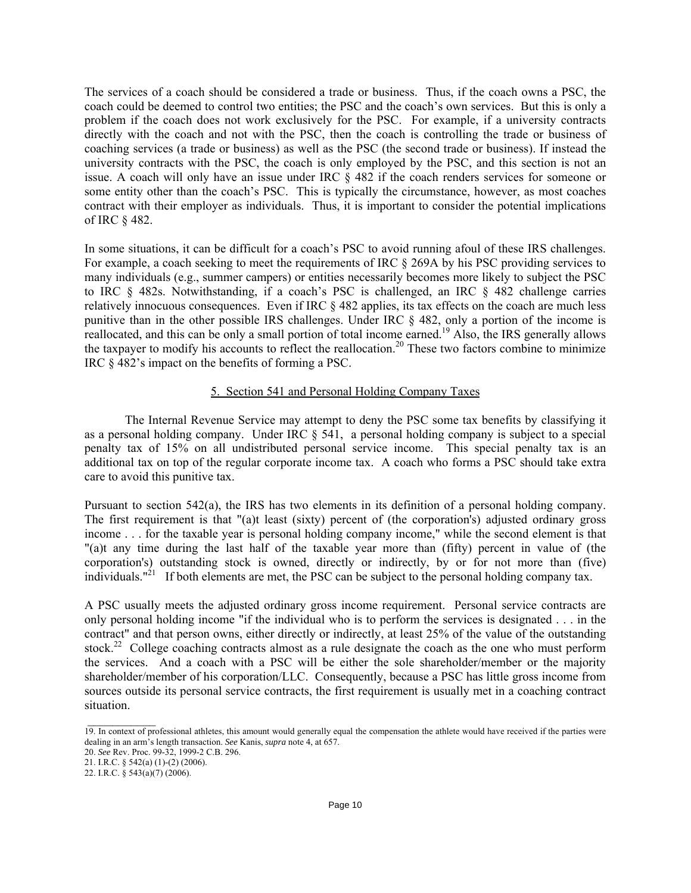The services of a coach should be considered a trade or business. Thus, if the coach owns a PSC, the coach could be deemed to control two entities; the PSC and the coach's own services. But this is only a problem if the coach does not work exclusively for the PSC. For example, if a university contracts directly with the coach and not with the PSC, then the coach is controlling the trade or business of coaching services (a trade or business) as well as the PSC (the second trade or business). If instead the university contracts with the PSC, the coach is only employed by the PSC, and this section is not an issue. A coach will only have an issue under IRC § 482 if the coach renders services for someone or some entity other than the coach's PSC. This is typically the circumstance, however, as most coaches contract with their employer as individuals. Thus, it is important to consider the potential implications of IRC § 482.

In some situations, it can be difficult for a coach's PSC to avoid running afoul of these IRS challenges. For example, a coach seeking to meet the requirements of IRC  $\S$  269A by his PSC providing services to many individuals (e.g., summer campers) or entities necessarily becomes more likely to subject the PSC to IRC § 482s. Notwithstanding, if a coach's PSC is challenged, an IRC § 482 challenge carries relatively innocuous consequences. Even if IRC § 482 applies, its tax effects on the coach are much less punitive than in the other possible IRS challenges. Under IRC § 482, only a portion of the income is reallocated, and this can be only a small portion of total income earned.<sup>19</sup> Also, the IRS generally allows the taxpayer to modify his accounts to reflect the reallocation.<sup>20</sup> These two factors combine to minimize IRC § 482's impact on the benefits of forming a PSC.

#### 5. Section 541 and Personal Holding Company Taxes

 The Internal Revenue Service may attempt to deny the PSC some tax benefits by classifying it as a personal holding company. Under IRC  $\S$  541, a personal holding company is subject to a special penalty tax of 15% on all undistributed personal service income. This special penalty tax is an additional tax on top of the regular corporate income tax. A coach who forms a PSC should take extra care to avoid this punitive tax.

Pursuant to section 542(a), the IRS has two elements in its definition of a personal holding company. The first requirement is that "(a)t least (sixty) percent of (the corporation's) adjusted ordinary gross income . . . for the taxable year is personal holding company income," while the second element is that "(a)t any time during the last half of the taxable year more than (fifty) percent in value of (the corporation's) outstanding stock is owned, directly or indirectly, by or for not more than (five) individuals."<sup>21</sup> If both elements are met, the PSC can be subject to the personal holding company tax.

A PSC usually meets the adjusted ordinary gross income requirement. Personal service contracts are only personal holding income "if the individual who is to perform the services is designated . . . in the contract" and that person owns, either directly or indirectly, at least 25% of the value of the outstanding stock.<sup>22</sup> College coaching contracts almost as a rule designate the coach as the one who must perform the services. And a coach with a PSC will be either the sole shareholder/member or the majority shareholder/member of his corporation/LLC. Consequently, because a PSC has little gross income from sources outside its personal service contracts, the first requirement is usually met in a coaching contract situation.

<sup>19.</sup> In context of professional athletes, this amount would generally equal the compensation the athlete would have received if the parties were dealing in an arm's length transaction. *See* Kanis, *supra* note 4, at 657.

<sup>20.</sup> *See* Rev. Proc. 99-32, 1999-2 C.B. 296.

<sup>21.</sup> I.R.C. § 542(a) (1)-(2) (2006).

<sup>22.</sup> I.R.C. § 543(a)(7) (2006).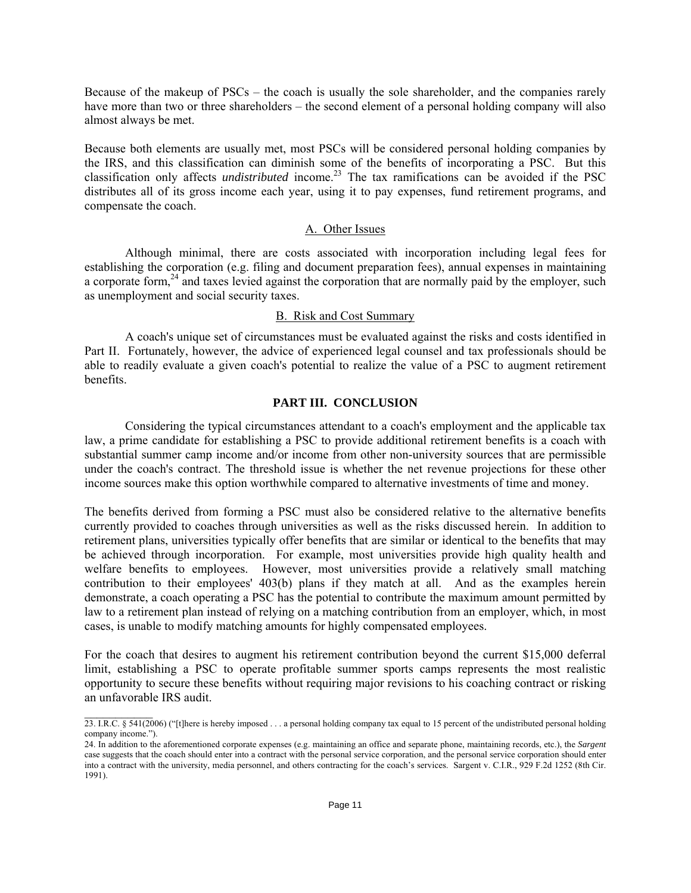Because of the makeup of PSCs – the coach is usually the sole shareholder, and the companies rarely have more than two or three shareholders – the second element of a personal holding company will also almost always be met.

Because both elements are usually met, most PSCs will be considered personal holding companies by the IRS, and this classification can diminish some of the benefits of incorporating a PSC. But this classification only affects *undistributed* income.<sup>23</sup> The tax ramifications can be avoided if the PSC distributes all of its gross income each year, using it to pay expenses, fund retirement programs, and compensate the coach.

#### A. Other Issues

 Although minimal, there are costs associated with incorporation including legal fees for establishing the corporation (e.g. filing and document preparation fees), annual expenses in maintaining a corporate form,<sup>24</sup> and taxes levied against the corporation that are normally paid by the employer, such as unemployment and social security taxes.

#### B. Risk and Cost Summary

 A coach's unique set of circumstances must be evaluated against the risks and costs identified in Part II. Fortunately, however, the advice of experienced legal counsel and tax professionals should be able to readily evaluate a given coach's potential to realize the value of a PSC to augment retirement benefits.

## **PART III. CONCLUSION**

Considering the typical circumstances attendant to a coach's employment and the applicable tax law, a prime candidate for establishing a PSC to provide additional retirement benefits is a coach with substantial summer camp income and/or income from other non-university sources that are permissible under the coach's contract. The threshold issue is whether the net revenue projections for these other income sources make this option worthwhile compared to alternative investments of time and money.

The benefits derived from forming a PSC must also be considered relative to the alternative benefits currently provided to coaches through universities as well as the risks discussed herein. In addition to retirement plans, universities typically offer benefits that are similar or identical to the benefits that may be achieved through incorporation. For example, most universities provide high quality health and welfare benefits to employees. However, most universities provide a relatively small matching contribution to their employees' 403(b) plans if they match at all. And as the examples herein demonstrate, a coach operating a PSC has the potential to contribute the maximum amount permitted by law to a retirement plan instead of relying on a matching contribution from an employer, which, in most cases, is unable to modify matching amounts for highly compensated employees.

For the coach that desires to augment his retirement contribution beyond the current \$15,000 deferral limit, establishing a PSC to operate profitable summer sports camps represents the most realistic opportunity to secure these benefits without requiring major revisions to his coaching contract or risking an unfavorable IRS audit.

 $\mathcal{L}_\text{max}$ 

<sup>23.</sup> I.R.C. § 541(2006) ("[t]here is hereby imposed . . . a personal holding company tax equal to 15 percent of the undistributed personal holding company income.").

<sup>24.</sup> In addition to the aforementioned corporate expenses (e.g. maintaining an office and separate phone, maintaining records, etc.), the *Sargent*  case suggests that the coach should enter into a contract with the personal service corporation, and the personal service corporation should enter into a contract with the university, media personnel, and others contracting for the coach's services. Sargent v. C.I.R., 929 F.2d 1252 (8th Cir. 1991).